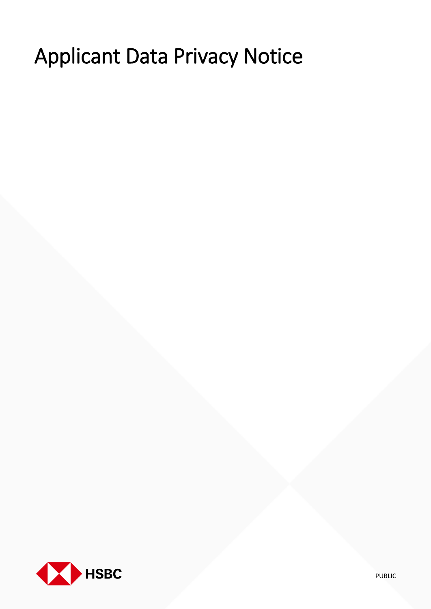# Applicant Data Privacy Notice

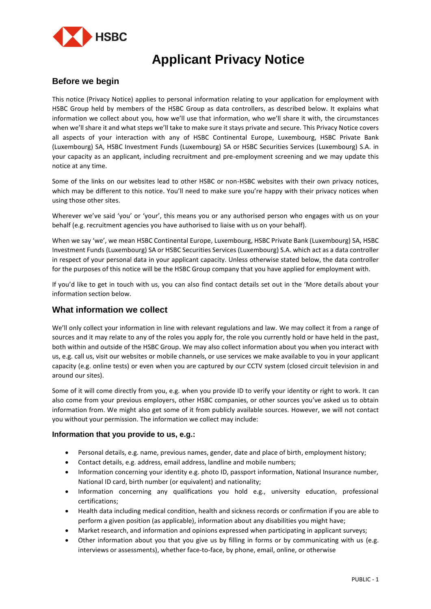

# **Applicant Privacy Notice**

## **Before we begin**

This notice (Privacy Notice) applies to personal information relating to your application for employment with HSBC Group held by members of the HSBC Group as data controllers, as described below. It explains what information we collect about you, how we'll use that information, who we'll share it with, the circumstances when we'll share it and what steps we'll take to make sure it stays private and secure. This Privacy Notice covers all aspects of your interaction with any of HSBC Continental Europe, Luxembourg, HSBC Private Bank (Luxembourg) SA, HSBC Investment Funds (Luxembourg) SA or HSBC Securities Services (Luxembourg) S.A. in your capacity as an applicant, including recruitment and pre-employment screening and we may update this notice at any time.

Some of the links on our websites lead to other HSBC or non-HSBC websites with their own privacy notices, which may be different to this notice. You'll need to make sure you're happy with their privacy notices when using those other sites.

Wherever we've said 'you' or 'your', this means you or any authorised person who engages with us on your behalf (e.g. recruitment agencies you have authorised to liaise with us on your behalf).

When we say 'we', we mean HSBC Continental Europe, Luxembourg, HSBC Private Bank (Luxembourg) SA, HSBC Investment Funds (Luxembourg) SA or HSBC Securities Services (Luxembourg) S.A. which act as a data controller in respect of your personal data in your applicant capacity. Unless otherwise stated below, the data controller for the purposes of this notice will be the HSBC Group company that you have applied for employment with.

If you'd like to get in touch with us, you can also find contact details set out in the 'More details about your information section below.

#### **What information we collect**

We'll only collect your information in line with relevant regulations and law. We may collect it from a range of sources and it may relate to any of the roles you apply for, the role you currently hold or have held in the past, both within and outside of the HSBC Group. We may also collect information about you when you interact with us, e.g. call us, visit our websites or mobile channels, or use services we make available to you in your applicant capacity (e.g. online tests) or even when you are captured by our CCTV system (closed circuit television in and around our sites).

Some of it will come directly from you, e.g. when you provide ID to verify your identity or right to work. It can also come from your previous employers, other HSBC companies, or other sources you've asked us to obtain information from. We might also get some of it from publicly available sources. However, we will not contact you without your permission. The information we collect may include:

#### **Information that you provide to us, e.g.:**

- Personal details, e.g. name, previous names, gender, date and place of birth, employment history;
- Contact details, e.g. address, email address, landline and mobile numbers;
- Information concerning your identity e.g. photo ID, passport information, National Insurance number, National ID card, birth number (or equivalent) and nationality;
- Information concerning any qualifications you hold e.g., university education, professional certifications;
- Health data including medical condition, health and sickness records or confirmation if you are able to perform a given position (as applicable), information about any disabilities you might have;
- Market research, and information and opinions expressed when participating in applicant surveys;
- Other information about you that you give us by filling in forms or by communicating with us (e.g. interviews or assessments), whether face-to-face, by phone, email, online, or otherwise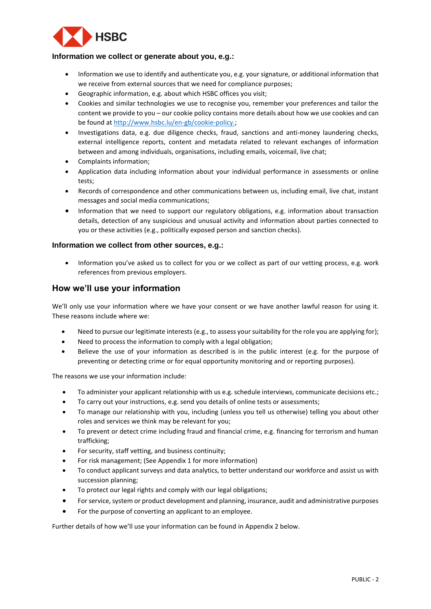

#### **Information we collect or generate about you, e.g.:**

- Information we use to identify and authenticate you, e.g. your signature, or additional information that we receive from external sources that we need for compliance purposes;
- Geographic information, e.g. about which HSBC offices you visit;
- Cookies and similar technologies we use to recognise you, remember your preferences and tailor the content we provide to you – our cookie policy contains more details about how we use cookies and can be found at [http://www.hsbc.lu/en-gb/cookie-policy.](http://www.hsbc.lu/en-gb/cookie-policy);
- Investigations data, e.g. due diligence checks, fraud, sanctions and anti-money laundering checks, external intelligence reports, content and metadata related to relevant exchanges of information between and among individuals, organisations, including emails, voicemail, live chat;
- Complaints information;
- Application data including information about your individual performance in assessments or online tests;
- Records of correspondence and other communications between us, including email, live chat, instant messages and social media communications;
- Information that we need to support our regulatory obligations, e.g. information about transaction details, detection of any suspicious and unusual activity and information about parties connected to you or these activities (e.g., politically exposed person and sanction checks).

#### **Information we collect from other sources, e.g.:**

• Information you've asked us to collect for you or we collect as part of our vetting process, e.g. work references from previous employers.

#### **How we'll use your information**

We'll only use your information where we have your consent or we have another lawful reason for using it. These reasons include where we:

- Need to pursue our legitimate interests (e.g., to assess your suitability for the role you are applying for);
- Need to process the information to comply with a legal obligation;
- Believe the use of your information as described is in the public interest (e.g. for the purpose of preventing or detecting crime or for equal opportunity monitoring and or reporting purposes).

The reasons we use your information include:

- To administer your applicant relationship with us e.g. schedule interviews, communicate decisions etc.;
- To carry out your instructions, e.g. send you details of online tests or assessments;
- To manage our relationship with you, including (unless you tell us otherwise) telling you about other roles and services we think may be relevant for you;
- To prevent or detect crime including fraud and financial crime, e.g. financing for terrorism and human trafficking;
- For security, staff vetting, and business continuity;
- For risk management; (See Appendix 1 for more information)
- To conduct applicant surveys and data analytics, to better understand our workforce and assist us with succession planning;
- To protect our legal rights and comply with our legal obligations;
- For service, system or product development and planning, insurance, audit and administrative purposes
- For the purpose of converting an applicant to an employee.

Further details of how we'll use your information can be found in Appendix 2 below.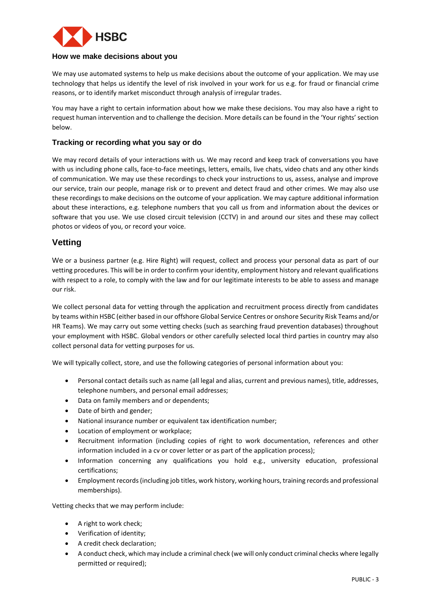

#### **How we make decisions about you**

We may use automated systems to help us make decisions about the outcome of your application. We may use technology that helps us identify the level of risk involved in your work for us e.g. for fraud or financial crime reasons, or to identify market misconduct through analysis of irregular trades.

You may have a right to certain information about how we make these decisions. You may also have a right to request human intervention and to challenge the decision. More details can be found in the 'Your rights' section below.

#### **Tracking or recording what you say or do**

We may record details of your interactions with us. We may record and keep track of conversations you have with us including phone calls, face-to-face meetings, letters, emails, live chats, video chats and any other kinds of communication. We may use these recordings to check your instructions to us, assess, analyse and improve our service, train our people, manage risk or to prevent and detect fraud and other crimes. We may also use these recordings to make decisions on the outcome of your application. We may capture additional information about these interactions, e.g. telephone numbers that you call us from and information about the devices or software that you use. We use closed circuit television (CCTV) in and around our sites and these may collect photos or videos of you, or record your voice.

### **Vetting**

We or a business partner (e.g. Hire Right) will request, collect and process your personal data as part of our vetting procedures. This will be in order to confirm your identity, employment history and relevant qualifications with respect to a role, to comply with the law and for our legitimate interests to be able to assess and manage our risk.

We collect personal data for vetting through the application and recruitment process directly from candidates by teams within HSBC (either based in our offshore Global Service Centres or onshore Security Risk Teams and/or HR Teams). We may carry out some vetting checks (such as searching fraud prevention databases) throughout your employment with HSBC. Global vendors or other carefully selected local third parties in country may also collect personal data for vetting purposes for us.

We will typically collect, store, and use the following categories of personal information about you:

- Personal contact details such as name (all legal and alias, current and previous names), title, addresses, telephone numbers, and personal email addresses;
- Data on family members and or dependents;
- Date of birth and gender;
- National insurance number or equivalent tax identification number;
- Location of employment or workplace;
- Recruitment information (including copies of right to work documentation, references and other information included in a cv or cover letter or as part of the application process);
- Information concerning any qualifications you hold e.g., university education, professional certifications;
- Employment records (including job titles, work history, working hours, training records and professional memberships).

Vetting checks that we may perform include:

- A right to work check;
- Verification of identity;
- A credit check declaration;
- A conduct check, which may include a criminal check (we will only conduct criminal checks where legally permitted or required);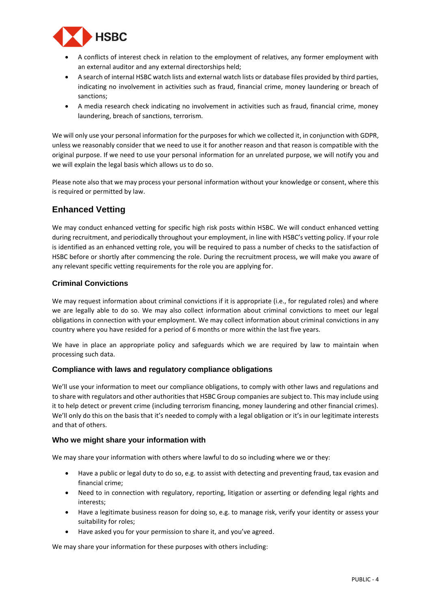

- A conflicts of interest check in relation to the employment of relatives, any former employment with an external auditor and any external directorships held;
- A search of internal HSBC watch lists and external watch lists or database files provided by third parties, indicating no involvement in activities such as fraud, financial crime, money laundering or breach of sanctions;
- A media research check indicating no involvement in activities such as fraud, financial crime, money laundering, breach of sanctions, terrorism.

We will only use your personal information for the purposes for which we collected it, in conjunction with GDPR, unless we reasonably consider that we need to use it for another reason and that reason is compatible with the original purpose. If we need to use your personal information for an unrelated purpose, we will notify you and we will explain the legal basis which allows us to do so.

Please note also that we may process your personal information without your knowledge or consent, where this is required or permitted by law.

# **Enhanced Vetting**

We may conduct enhanced vetting for specific high risk posts within HSBC. We will conduct enhanced vetting during recruitment, and periodically throughout your employment, in line with HSBC's vetting policy. If your role is identified as an enhanced vetting role, you will be required to pass a number of checks to the satisfaction of HSBC before or shortly after commencing the role. During the recruitment process, we will make you aware of any relevant specific vetting requirements for the role you are applying for.

#### **Criminal Convictions**

We may request information about criminal convictions if it is appropriate (i.e., for regulated roles) and where we are legally able to do so. We may also collect information about criminal convictions to meet our legal obligations in connection with your employment. We may collect information about criminal convictions in any country where you have resided for a period of 6 months or more within the last five years.

We have in place an appropriate policy and safeguards which we are required by law to maintain when processing such data.

#### **Compliance with laws and regulatory compliance obligations**

We'll use your information to meet our compliance obligations, to comply with other laws and regulations and to share with regulators and other authorities that HSBC Group companies are subject to. This may include using it to help detect or prevent crime (including terrorism financing, money laundering and other financial crimes). We'll only do this on the basis that it's needed to comply with a legal obligation or it's in our legitimate interests and that of others.

#### **Who we might share your information with**

We may share your information with others where lawful to do so including where we or they:

- Have a public or legal duty to do so, e.g. to assist with detecting and preventing fraud, tax evasion and financial crime;
- Need to in connection with regulatory, reporting, litigation or asserting or defending legal rights and interests;
- Have a legitimate business reason for doing so, e.g. to manage risk, verify your identity or assess your suitability for roles;
- Have asked you for your permission to share it, and you've agreed.

We may share your information for these purposes with others including: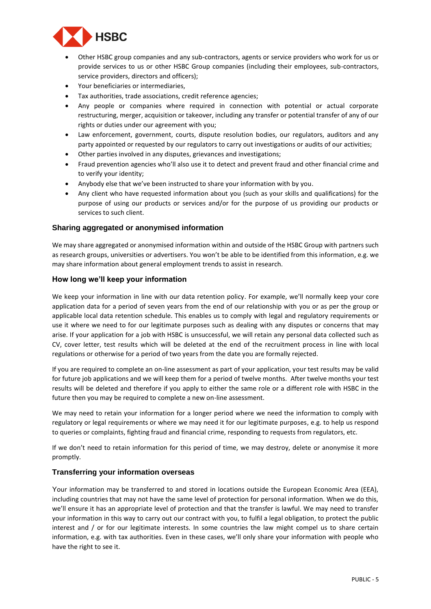

- Other HSBC group companies and any sub-contractors, agents or service providers who work for us or provide services to us or other HSBC Group companies (including their employees, sub-contractors, service providers, directors and officers);
- Your beneficiaries or intermediaries,
- Tax authorities, trade associations, credit reference agencies;
- Any people or companies where required in connection with potential or actual corporate restructuring, merger, acquisition or takeover, including any transfer or potential transfer of any of our rights or duties under our agreement with you;
- Law enforcement, government, courts, dispute resolution bodies, our regulators, auditors and any party appointed or requested by our regulators to carry out investigations or audits of our activities;
- Other parties involved in any disputes, grievances and investigations;
- Fraud prevention agencies who'll also use it to detect and prevent fraud and other financial crime and to verify your identity;
- Anybody else that we've been instructed to share your information with by you.
- Any client who have requested information about you (such as your skills and qualifications) for the purpose of using our products or services and/or for the purpose of us providing our products or services to such client.

#### **Sharing aggregated or anonymised information**

We may share aggregated or anonymised information within and outside of the HSBC Group with partners such as research groups, universities or advertisers. You won't be able to be identified from this information, e.g. we may share information about general employment trends to assist in research.

#### **How long we'll keep your information**

We keep your information in line with our data retention policy. For example, we'll normally keep your core application data for a period of seven years from the end of our relationship with you or as per the group or applicable local data retention schedule. This enables us to comply with legal and regulatory requirements or use it where we need to for our legitimate purposes such as dealing with any disputes or concerns that may arise. If your application for a job with HSBC is unsuccessful, we will retain any personal data collected such as CV, cover letter, test results which will be deleted at the end of the recruitment process in line with local regulations or otherwise for a period of two years from the date you are formally rejected.

If you are required to complete an on-line assessment as part of your application, your test results may be valid for future job applications and we will keep them for a period of twelve months. After twelve months your test results will be deleted and therefore if you apply to either the same role or a different role with HSBC in the future then you may be required to complete a new on-line assessment.

We may need to retain your information for a longer period where we need the information to comply with regulatory or legal requirements or where we may need it for our legitimate purposes, e.g. to help us respond to queries or complaints, fighting fraud and financial crime, responding to requests from regulators, etc.

If we don't need to retain information for this period of time, we may destroy, delete or anonymise it more promptly.

#### **Transferring your information overseas**

Your information may be transferred to and stored in locations outside the European Economic Area (EEA), including countries that may not have the same level of protection for personal information. When we do this, we'll ensure it has an appropriate level of protection and that the transfer is lawful. We may need to transfer your information in this way to carry out our contract with you, to fulfil a legal obligation, to protect the public interest and / or for our legitimate interests. In some countries the law might compel us to share certain information, e.g. with tax authorities. Even in these cases, we'll only share your information with people who have the right to see it.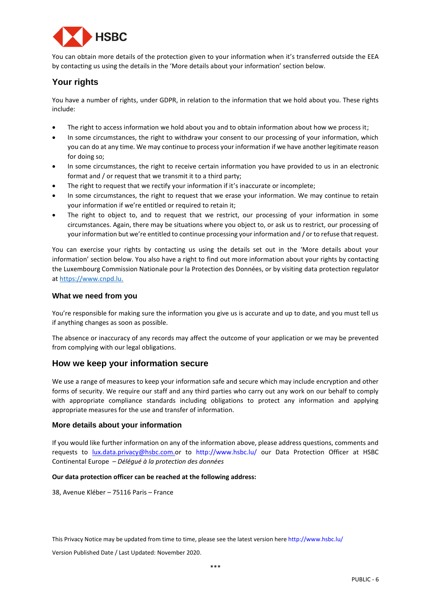

You can obtain more details of the protection given to your information when it's transferred outside the EEA by contacting us using the details in the 'More details about your information' section below.

# **Your rights**

You have a number of rights, under GDPR, in relation to the information that we hold about you. These rights include:

- The right to access information we hold about you and to obtain information about how we process it;
- In some circumstances, the right to withdraw your consent to our processing of your information, which you can do at any time. We may continue to process your information if we have another legitimate reason for doing so;
- In some circumstances, the right to receive certain information you have provided to us in an electronic format and / or request that we transmit it to a third party;
- The right to request that we rectify your information if it's inaccurate or incomplete;
- In some circumstances, the right to request that we erase your information. We may continue to retain your information if we're entitled or required to retain it;
- The right to object to, and to request that we restrict, our processing of your information in some circumstances. Again, there may be situations where you object to, or ask us to restrict, our processing of your information but we're entitled to continue processing your information and / or to refuse that request.

You can exercise your rights by contacting us using the details set out in the 'More details about your information' section below. You also have a right to find out more information about your rights by contacting the Luxembourg Commission Nationale pour la Protection des Données, or by visiting data protection regulator a[t https://www.cnpd.lu.](https://www.cnpd.lu/)

#### **What we need from you**

You're responsible for making sure the information you give us is accurate and up to date, and you must tell us if anything changes as soon as possible.

The absence or inaccuracy of any records may affect the outcome of your application or we may be prevented from complying with our legal obligations.

#### **How we keep your information secure**

We use a range of measures to keep your information safe and secure which may include encryption and other forms of security. We require our staff and any third parties who carry out any work on our behalf to comply with appropriate compliance standards including obligations to protect any information and applying appropriate measures for the use and transfer of information.

#### **More details about your information**

If you would like further information on any of the information above, please address questions, comments and requests to [lux.data.privacy@hsbc.com.o](mailto:lux.data.privacy@hsbc.com)r to <http://www.hsbc.lu/> our Data Protection Officer at HSBC Continental Europe – *Délégué à la protection des données* 

#### **Our data protection officer can be reached at the following address:**

38, Avenue Kléber – 75116 Paris – France

This Privacy Notice may be updated from time to time, please see the latest version here http://www.hsbc.lu/

Version Published Date / Last Updated: November 2020.